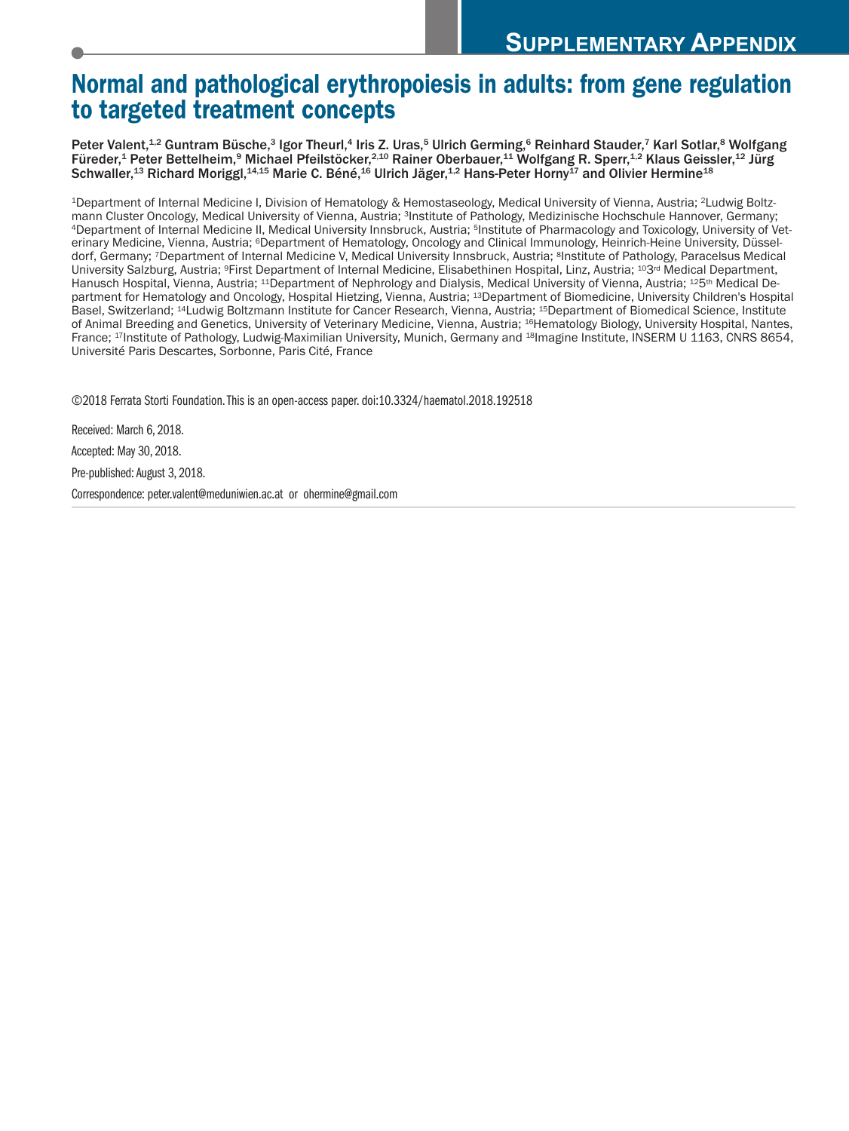# **Normal and pathological erythropoiesis in adults: from gene regulation to targeted treatment concepts**

Peter Valent,<sup>1,2</sup> Guntram Büsche,<sup>3</sup> Igor Theurl,<sup>4</sup> Iris Z. Uras,<sup>5</sup> Ulrich Germing,<sup>6</sup> Reinhard Stauder,<sup>7</sup> Karl Sotlar,<sup>8</sup> Wolfgang Füreder,<sup>1</sup> Peter Bettelheim,<sup>9</sup> Michael Pfeilstöcker,<sup>2,10</sup> Rainer Oberbauer,<sup>11</sup> Wolfgang R. Sperr,<sup>1,2</sup> Klaus Geissler,<sup>12</sup> Jürg Schwaller,<sup>13</sup> Richard Moriggl,<sup>14,15</sup> Marie C. Béné,<sup>16</sup> Ulrich Jäger,<sup>1,2</sup> Hans-Peter Horny<sup>17</sup> and Olivier Hermine<sup>18</sup>

1Department of Internal Medicine I, Division of Hematology & Hemostaseology, Medical University of Vienna, Austria; 2Ludwig Boltzmann Cluster Oncology, Medical University of Vienna, Austria; 3Institute of Pathology, Medizinische Hochschule Hannover, Germany; 4Department of Internal Medicine II, Medical University Innsbruck, Austria; 5Institute of Pharmacology and Toxicology, University of Veterinary Medicine, Vienna, Austria; <sup>6</sup>Department of Hematology, Oncology and Clinical Immunology, Heinrich-Heine University, Düsseldorf, Germany; 7Department of Internal Medicine V, Medical University Innsbruck, Austria; 8Institute of Pathology, Paracelsus Medical University Salzburg, Austria; <sup>9</sup>First Department of Internal Medicine, Elisabethinen Hospital, Linz, Austria; <sup>103rd</sup> Medical Department, Hanusch Hospital, Vienna, Austria; <sup>11</sup>Department of Nephrology and Dialysis, Medical University of Vienna, Austria; <sup>12</sup>5<sup>th</sup> Medical Department for Hematology and Oncology, Hospital Hietzing, Vienna, Austria; 13Department of Biomedicine, University Children's Hospital Basel, Switzerland; 14Ludwig Boltzmann Institute for Cancer Research, Vienna, Austria; 15Department of Biomedical Science, Institute of Animal Breeding and Genetics, University of Veterinary Medicine, Vienna, Austria; 16Hematology Biology, University Hospital, Nantes, France; 17Institute of Pathology, Ludwig-Maximilian University, Munich, Germany and 18Imagine Institute, INSERM U 1163, CNRS 8654, Université Paris Descartes, Sorbonne, Paris Cité, France

©2018 Ferrata Storti Foundation.This is an open-access paper. doi:10.3324/haematol.2018.192518

Received: March 6, 2018. Accepted: May 30, 2018. Pre-published: August 3, 2018. Correspondence: peter.valent@meduniwien.ac.at or ohermine@gmail.com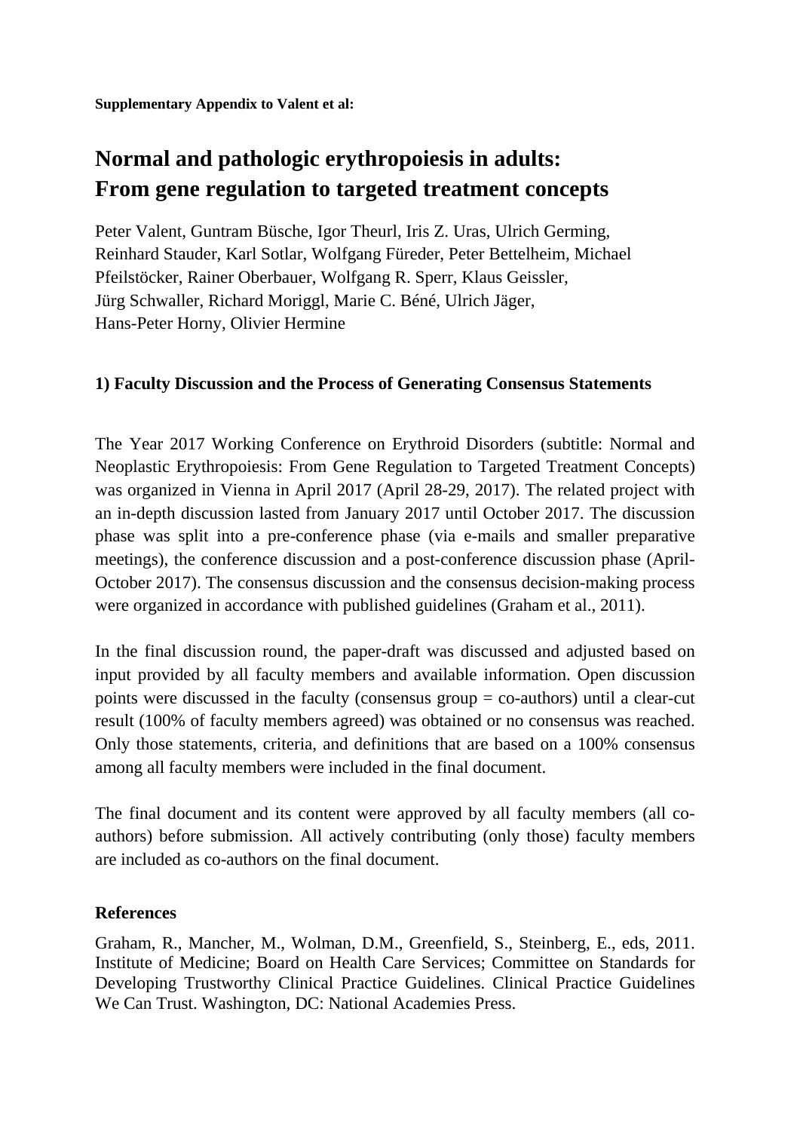# **Normal and pathologic erythropoiesis in adults: From gene regulation to targeted treatment concepts**

Peter Valent, Guntram Büsche, Igor Theurl, Iris Z. Uras, Ulrich Germing, Reinhard Stauder, Karl Sotlar, Wolfgang Füreder, Peter Bettelheim, Michael Pfeilstöcker, Rainer Oberbauer, Wolfgang R. Sperr, Klaus Geissler, Jürg Schwaller, Richard Moriggl, Marie C. Béné, Ulrich Jäger, Hans-Peter Horny, Olivier Hermine

## **1) Faculty Discussion and the Process of Generating Consensus Statements**

The Year 2017 Working Conference on Erythroid Disorders (subtitle: Normal and Neoplastic Erythropoiesis: From Gene Regulation to Targeted Treatment Concepts) was organized in Vienna in April 2017 (April 28-29, 2017). The related project with an in-depth discussion lasted from January 2017 until October 2017. The discussion phase was split into a pre-conference phase (via e-mails and smaller preparative meetings), the conference discussion and a post-conference discussion phase (April-October 2017). The consensus discussion and the consensus decision-making process were organized in accordance with published guidelines (Graham et al., 2011).

In the final discussion round, the paper-draft was discussed and adjusted based on input provided by all faculty members and available information. Open discussion points were discussed in the faculty (consensus group = co-authors) until a clear-cut result (100% of faculty members agreed) was obtained or no consensus was reached. Only those statements, criteria, and definitions that are based on a 100% consensus among all faculty members were included in the final document.

The final document and its content were approved by all faculty members (all coauthors) before submission. All actively contributing (only those) faculty members are included as co-authors on the final document.

#### **References**

Graham, R., Mancher, M., Wolman, D.M., Greenfield, S., Steinberg, E., eds, 2011. Institute of Medicine; Board on Health Care Services; Committee on Standards for Developing Trustworthy Clinical Practice Guidelines. Clinical Practice Guidelines We Can Trust. Washington, DC: National Academies Press.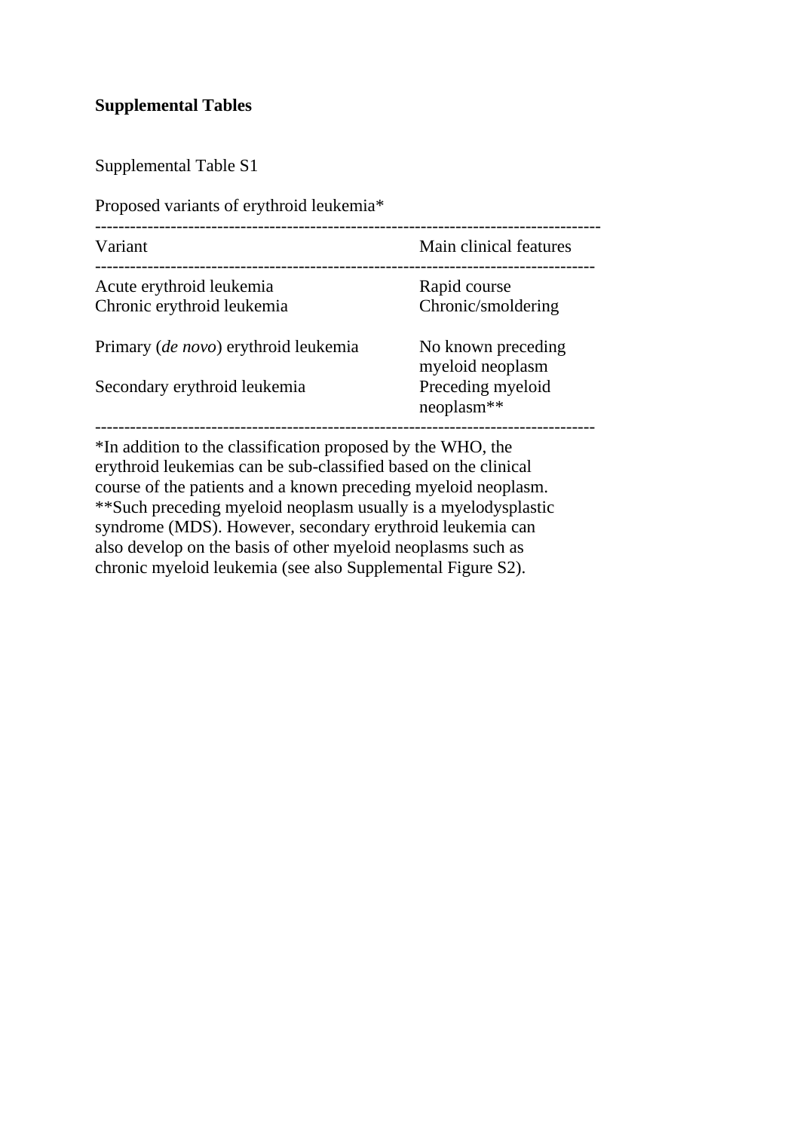#### **Supplemental Tables**

Supplemental Table S1

--------------------------------------------------------------------------------------- Variant Variant Main clinical features -------------------------------------------------------------------------------------- Acute erythroid leukemia Rapid course Chronic erythroid leukemia Chronic/smoldering Primary (*de novo*) erythroid leukemia No known preceding myeloid neoplasm Secondary erythroid leukemia Preceding myeloid neoplasm\*\* --------------------------------------------------------------------------------------

\*In addition to the classification proposed by the WHO, the erythroid leukemias can be sub-classified based on the clinical course of the patients and a known preceding myeloid neoplasm. \*\*Such preceding myeloid neoplasm usually is a myelodysplastic syndrome (MDS). However, secondary erythroid leukemia can also develop on the basis of other myeloid neoplasms such as chronic myeloid leukemia (see also Supplemental Figure S2).

Proposed variants of erythroid leukemia\*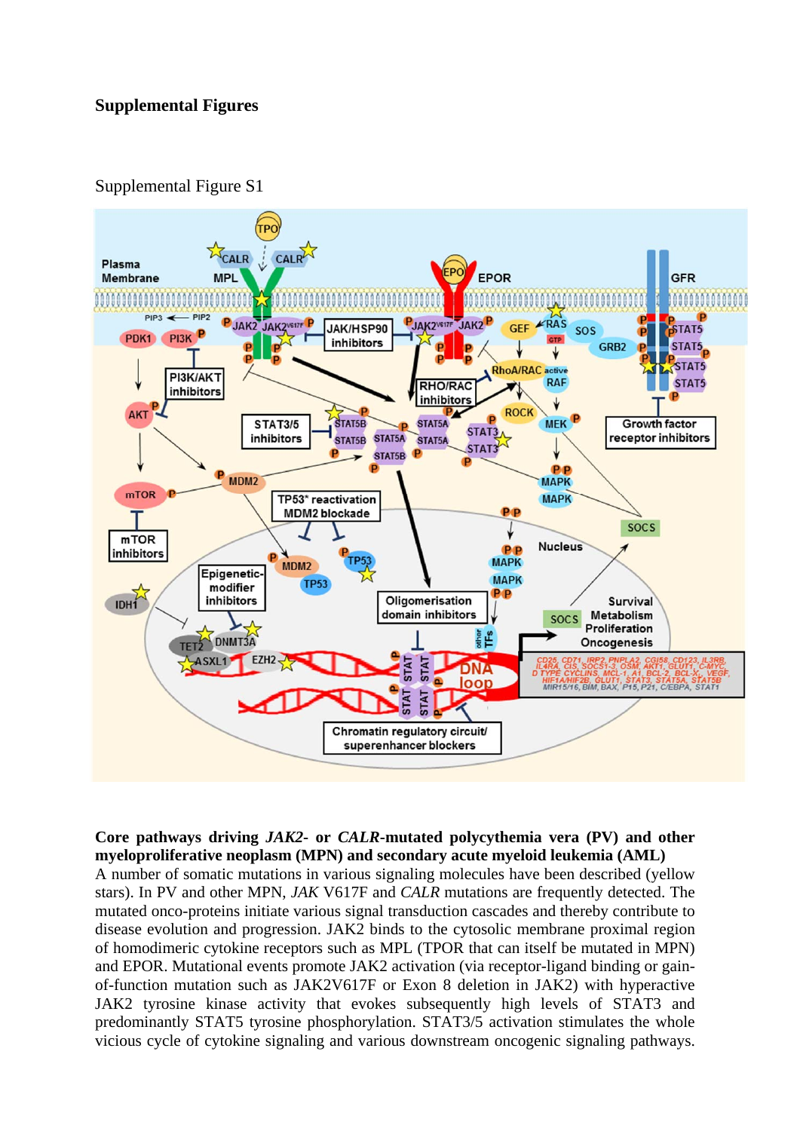#### **Supplemental Figures**



Supplemental Figure S1

**Core pathways driving** *JAK2***- or** *CALR***-mutated polycythemia vera (PV) and other myeloproliferative neoplasm (MPN) and secondary acute myeloid leukemia (AML)** 

A number of somatic mutations in various signaling molecules have been described (yellow stars). In PV and other MPN, *JAK* V617F and *CALR* mutations are frequently detected. The mutated onco-proteins initiate various signal transduction cascades and thereby contribute to disease evolution and progression. JAK2 binds to the cytosolic membrane proximal region of homodimeric cytokine receptors such as MPL (TPOR that can itself be mutated in MPN) and EPOR. Mutational events promote JAK2 activation (via receptor-ligand binding or gainof-function mutation such as JAK2V617F or Exon 8 deletion in JAK2) with hyperactive JAK2 tyrosine kinase activity that evokes subsequently high levels of STAT3 and predominantly STAT5 tyrosine phosphorylation. STAT3/5 activation stimulates the whole vicious cycle of cytokine signaling and various downstream oncogenic signaling pathways.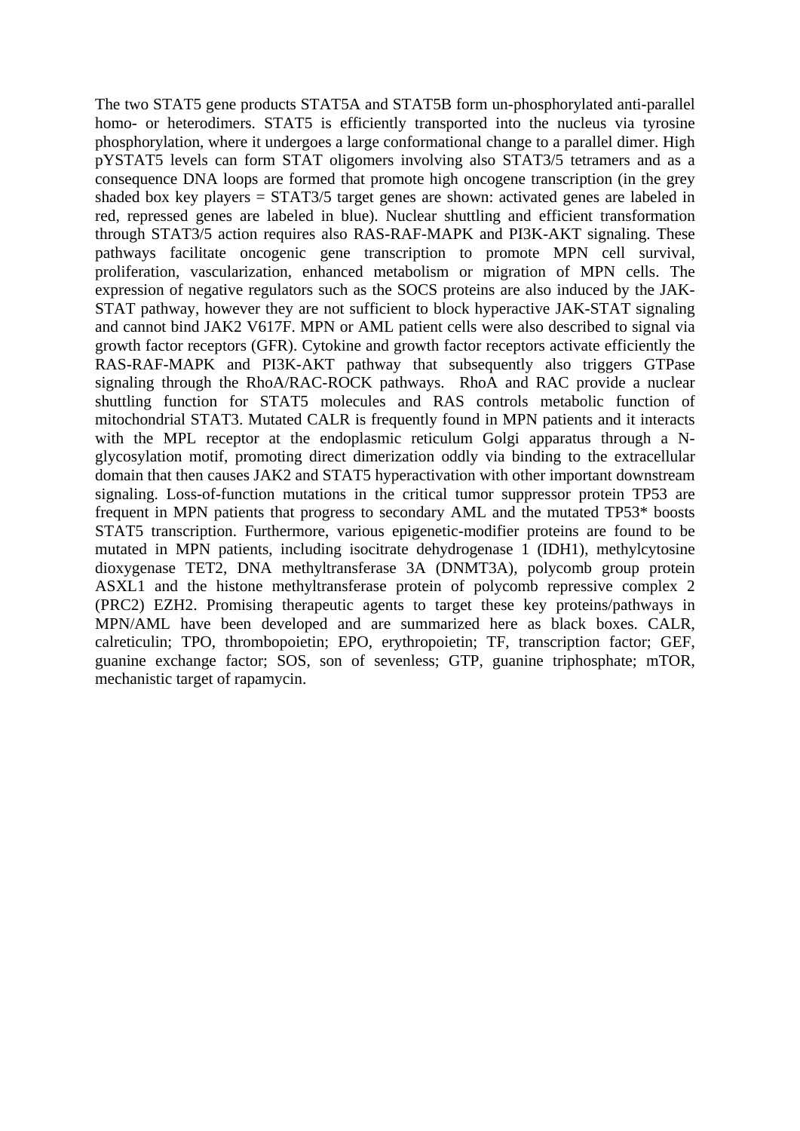The two STAT5 gene products STAT5A and STAT5B form un-phosphorylated anti-parallel homo- or heterodimers. STAT5 is efficiently transported into the nucleus via tyrosine phosphorylation, where it undergoes a large conformational change to a parallel dimer. High pYSTAT5 levels can form STAT oligomers involving also STAT3/5 tetramers and as a consequence DNA loops are formed that promote high oncogene transcription (in the grey shaded box key players = STAT3/5 target genes are shown: activated genes are labeled in red, repressed genes are labeled in blue). Nuclear shuttling and efficient transformation through STAT3/5 action requires also RAS-RAF-MAPK and PI3K-AKT signaling. These pathways facilitate oncogenic gene transcription to promote MPN cell survival, proliferation, vascularization, enhanced metabolism or migration of MPN cells. The expression of negative regulators such as the SOCS proteins are also induced by the JAK-STAT pathway, however they are not sufficient to block hyperactive JAK-STAT signaling and cannot bind JAK2 V617F. MPN or AML patient cells were also described to signal via growth factor receptors (GFR). Cytokine and growth factor receptors activate efficiently the RAS-RAF-MAPK and PI3K-AKT pathway that subsequently also triggers GTPase signaling through the RhoA/RAC-ROCK pathways. RhoA and RAC provide a nuclear shuttling function for STAT5 molecules and RAS controls metabolic function of mitochondrial STAT3. Mutated CALR is frequently found in MPN patients and it interacts with the MPL receptor at the endoplasmic reticulum Golgi apparatus through a Nglycosylation motif, promoting direct dimerization oddly via binding to the extracellular domain that then causes JAK2 and STAT5 hyperactivation with other important downstream signaling. Loss-of-function mutations in the critical tumor suppressor protein TP53 are frequent in MPN patients that progress to secondary AML and the mutated TP53\* boosts STAT5 transcription. Furthermore, various epigenetic-modifier proteins are found to be mutated in MPN patients, including isocitrate dehydrogenase 1 (IDH1), methylcytosine dioxygenase TET2, DNA methyltransferase 3A (DNMT3A), polycomb group protein ASXL1 and the histone methyltransferase protein of polycomb repressive complex 2 (PRC2) EZH2. Promising therapeutic agents to target these key proteins/pathways in MPN/AML have been developed and are summarized here as black boxes. CALR, calreticulin; TPO, thrombopoietin; EPO, erythropoietin; TF, transcription factor; GEF, guanine exchange factor; SOS, son of sevenless; GTP, guanine triphosphate; mTOR, mechanistic target of rapamycin.